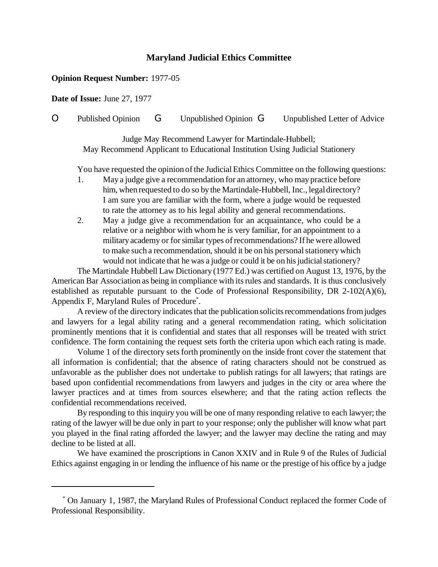## **Maryland Judicial Ethics Committee**

#### **Opinion Request Number:** 1977-05

**Date of Issue:** June 27, 1977

# O Published Opinion G Unpublished Opinion G Unpublished Letter of Advice

Judge May Recommend Lawyer for Martindale-Hubbell; May Recommend Applicant to Educational Institution Using Judicial Stationery

You have requested the opinion of the Judicial Ethics Committee on the following questions:

- 1. May a judge give a recommendation for an attorney, who may practice before him, when requested to do so by the Martindale-Hubbell, Inc., legal directory? I am sure you are familiar with the form, where a judge would be requested to rate the attorney as to his legal ability and general recommendations.
- 2. May a judge give a recommendation for an acquaintance, who could be a relative or a neighbor with whom he is very familiar, for an appointment to a militaryacademy or forsimilar types ofrecommendations? If he were allowed to make such a recommendation, should it be on his personal stationery which would not indicate that he was a judge or could it be on his judicial stationery?

The Martindale Hubbell Law Dictionary (1977 Ed.) was certified on August 13, 1976, by the American Bar Association as being in compliance with itsrules and standards. It is thus conclusively established as reputable pursuant to the Code of Professional Responsibility, DR 2-102(A)(6), Appendix F, Maryland Rules of Procedure\* .

A review of the directory indicates that the publication solicits recommendations from judges and lawyers for a legal ability rating and a general recommendation rating, which solicitation prominently mentions that it is confidential and states that all responses will be treated with strict confidence. The form containing the request sets forth the criteria upon which each rating is made.

Volume 1 of the directory sets forth prominently on the inside front cover the statement that all information is confidential; that the absence of rating characters should not be construed as unfavorable as the publisher does not undertake to publish ratings for all lawyers; that ratings are based upon confidential recommendations from lawyers and judges in the city or area where the lawyer practices and at times from sources elsewhere; and that the rating action reflects the confidential recommendations received.

By responding to this inquiry you will be one of many responding relative to each lawyer; the rating of the lawyer will be due only in part to your response; only the publisher will know what part you played in the final rating afforded the lawyer; and the lawyer may decline the rating and may decline to be listed at all.

We have examined the proscriptions in Canon XXIV and in Rule 9 of the Rules of Judicial Ethics against engaging in or lending the influence of his name or the prestige of his office by a judge

<sup>\*</sup> On January 1, 1987, the Maryland Rules of Professional Conduct replaced the former Code of Professional Responsibility.